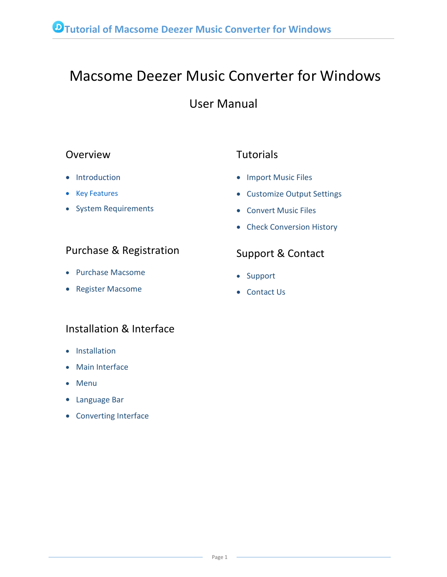# Macsome Deezer Music Converter for Windows

## User Manual

### Overview

- [Introduction](#page-1-0)
- Key [Features](#page-1-1)
- System [Requirements](#page-1-2)

## **Tutorials**

- [Import](#page-11-0) Music Files
- [Customize](#page-12-0) Output Settings
- [Convert](#page-12-1) Music Files
- Check [Conversion](#page-14-0) History

## Purchase & Registration

- Purchase [Macsome](#page-2-0)
- Register [Macsome](#page-3-0)

## Installation & Interface

- [Installation](#page-6-0)
- Main [Interface](#page-6-1)
- [Menu](#page-7-0)
- [Language](#page-8-0) Bar
- [Converting](#page-9-0) Interface

## Support & Contact

- [Support](#page-16-0)
- [Contact](#page-16-1) Us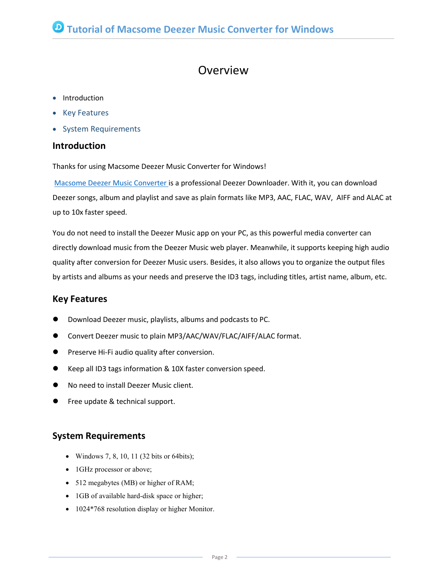## Overview

- Introduction
- Key [Features](#page-1-1)
- System [Requirements](#page-1-2)

#### <span id="page-1-0"></span>**Introduction**

Thanks for using Macsome Deezer Music Converter for Windows!

Macsome Deezer Music [Converter](https://www.macsome.com/deezer-music-converter/) is a professional Deezer Downloader. With it, you can download Deezer songs, album and playlist and save as plain formats like MP3, AAC, FLAC, WAV, AIFF and ALAC at up to 10x faster speed.

You do not need to install the Deezer Music app on your PC, as this powerful media converter can directly download music from the Deezer Music web player. Meanwhile, it supports keeping high audio quality after conversion for Deezer Music users. Besides, it also allows you to organize the output files by artists and albums as your needs and preserve the ID3 tags, including titles, artist name, album, etc.

#### <span id="page-1-1"></span>**Key Features**

- Download Deezer music, playlists, albums and podcasts to PC.
- Convert Deezer music to plain MP3/AAC/WAV/FLAC/AIFF/ALAC format.
- **•** Preserve Hi-Fi audio quality after conversion.
- Keep all ID3 tags information & 10X faster conversion speed.
- No need to install Deezer Music client.
- Free update & technical support.

#### <span id="page-1-2"></span>**System Requirements**

- Windows 7, 8, 10, 11 (32 bits or 64 bits);
- 1GHz processor or above;
- 512 megabytes (MB) or higher of RAM;
- 1GB of available hard-disk space or higher;
- 1024\*768 resolution display or higher Monitor.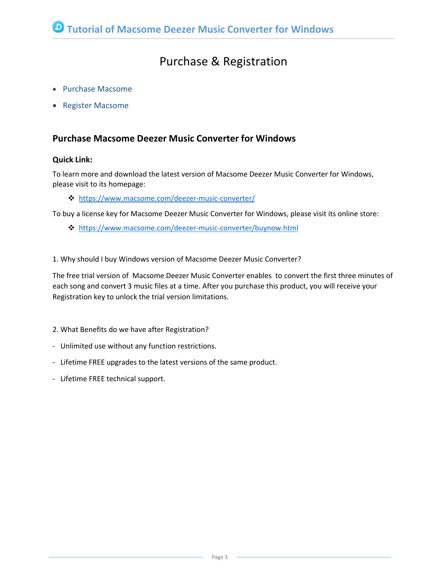## Purchase & Registration

- Purchase [Macsome](#page-2-0)
- Register [Macsome](#page-3-0)

#### <span id="page-2-0"></span>**Purchase Macsome Deezer Music Converter for Windows**

#### **Quick Link:**

To learn more and download the latest version of Macsome Deezer Music Converter for Windows, please visit to its homepage:

<https://www.macsome.com/deezer-music-converter/>

To buy a license key for Macsome Deezer Music Converter for Windows, please visit its [online](http://www.syncios.com/data-transfer/purchase.html) store:

<https://www.macsome.com/deezer-music-converter/buynow.html>

#### 1. Why should I buy Windows version of Macsome Deezer Music Converter?

The free trial version of Macsome Deezer Music Converter enables to convert the first three minutes of each song and convert 3 music files at a time. After you purchase this product, you will receive your Registration key to unlock the trial version limitations.

- 2. What Benefits do we have after Registration?
- Unlimited use without any function restrictions.
- Lifetime FREE upgrades to the latest versions of the same product.
- Lifetime FREE technical support.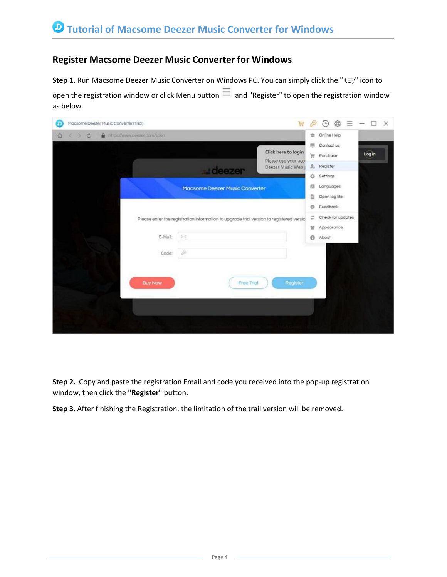#### <span id="page-3-0"></span>**Register Macsome Deezer Music Converter for Windows**

**Step 1.** Run Macsome Deezer Music Converter on Windows PC. You can simply click the "Key" icon to open the registration window or click Menu button  $\equiv$  and "Register" to open the registration window as below.

| Macsome Deezer Music Converter (Trial)<br>冒<br>D                                        | 46<br>Ξ<br>(4)                                             | $\times$<br>$\overline{\phantom{a}}$ |
|-----------------------------------------------------------------------------------------|------------------------------------------------------------|--------------------------------------|
| Pritps://www.deezer.com/soon<br>$\circ$<br>$\Omega$                                     | <b>Online Help</b><br>舎                                    |                                      |
| Click here to login                                                                     | 標<br>Contact us<br>Ħ<br>Purchase                           | Log in                               |
| Please use your accr<br>Deezer Music Web<br>deezer                                      | 2 <sub>0</sub><br>Register<br>亞<br>Settings                |                                      |
| Macsome Deezer Music Converter                                                          | Languages<br>ΕN<br>D<br>Open log file                      |                                      |
| Please enter the registration information to upgrade trial version to registered versio | Feedback<br>ø<br>Check for updates<br>ø<br>Appearance<br>w |                                      |
| $\Box$<br>E-Mail:                                                                       | $\Theta$<br>About                                          |                                      |
| $\hat{\mathcal{P}}$<br>Code:                                                            |                                                            |                                      |
| Register<br><b>Buy Now</b><br>Free Trial                                                |                                                            |                                      |
|                                                                                         |                                                            |                                      |
|                                                                                         |                                                            |                                      |

**Step 2.** Copy and paste the registration Email and code you received into the pop-up registration window, then click the **"Register"** button.

**Step 3.** After finishing the Registration, the limitation of the trail version will be removed.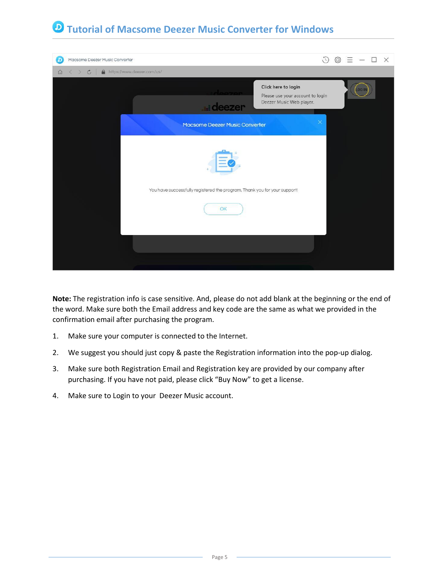

**Note:** The registration info is case sensitive. And, please do not add blank at the beginning or the end of the word. Make sure both the Email address and key code are the same as what we provided in the confirmation email after purchasing the program.

- 1. Make sure your computer is connected to the Internet.
- 2. We suggest you should just copy & paste the Registration information into the pop-up dialog.
- 3. Make sure both Registration Email and Registration key are provided by our company after purchasing. If you have not paid, please click "Buy Now" to get a license.
- 4. Make sure to Login to your Deezer Music account.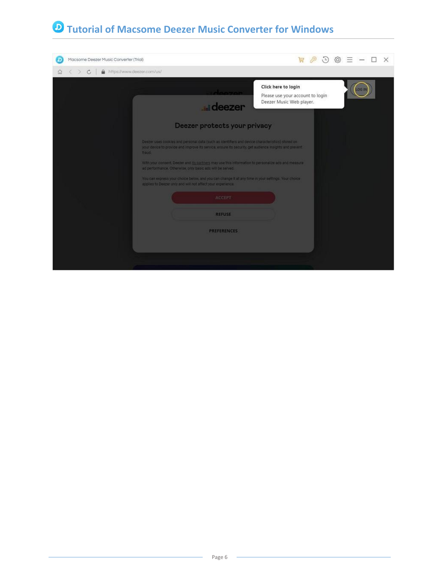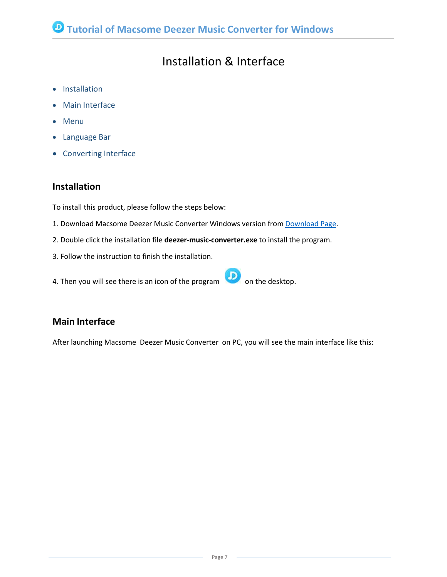## Installation & Interface

- [Installation](#page-6-0)
- Main [Interface](#page-6-1)
- [Menu](#page-7-0)
- [Language](#page-8-0) Bar
- [Converting](#page-9-0) Interface

#### <span id="page-6-0"></span>**Installation**

To install this product, please follow the steps below:

- 1. [Download](https://www.macsome.com/downloads.html) Macsome Deezer Music Converter Windows version from Download Page.
- 2. Double click the installation file **deezer-music-converter.exe** to install the program.
- 3. Follow the instruction to finish the installation.
- 4. Then you will see there is an icon of the program  $\bigcirc$  on the desktop.

#### <span id="page-6-1"></span>**Main Interface**

After launching Macsome Deezer Music Converter on PC, you will see the main interface like this: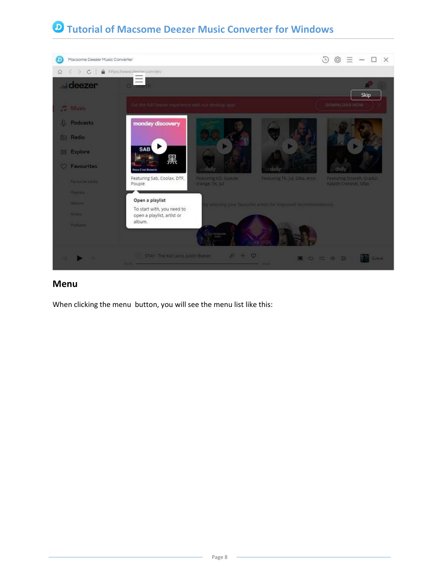

#### <span id="page-7-0"></span>**Menu**

When clicking the menu button, you will see the menu list like this: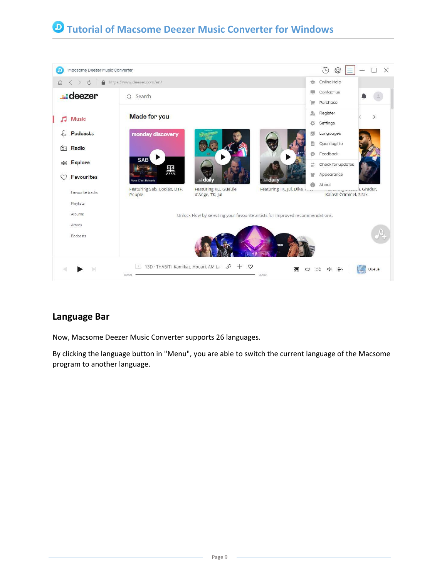

#### <span id="page-8-0"></span>**Language Bar**

Now, Macsome Deezer Music Converter supports 26 languages.

By clicking the language button in "Menu", you are able to switch the current language of the Macsome program to another language.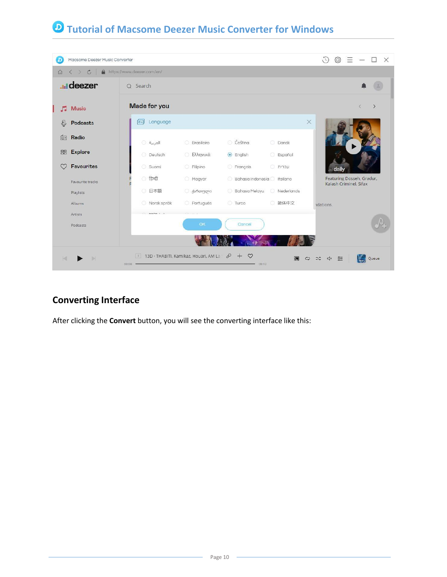| D               | Macsome Deezer Music Converter     |                            |                                                                  |                             |              | $\mathcal{L}$<br>63<br>$\times$<br>П                |
|-----------------|------------------------------------|----------------------------|------------------------------------------------------------------|-----------------------------|--------------|-----------------------------------------------------|
| $\Omega$        | $\mathcal{C}$<br>$\mathbf{a}$<br>← | https://www.deezer.com/en/ |                                                                  |                             |              |                                                     |
|                 | <b>unideezer</b>                   | Q Search                   |                                                                  |                             |              |                                                     |
| 5               | <b>Music</b>                       | Made for you               |                                                                  |                             |              | $\langle$<br>$\left\langle \right\rangle$           |
| €               | Podcasts                           | 同<br>Language              |                                                                  |                             | $\times$     |                                                     |
| $\boxed{\circ}$ | Radio                              | العربية 0                  | <b>Brasileiro</b>                                                | C Čeština                   | <b>Dansk</b> |                                                     |
| 88              | <b>Explore</b>                     | O Deutsch                  | <b>Ελληνικά</b>                                                  | $\odot$ English             | Español      |                                                     |
|                 | Favourites                         | Suomi                      | <b>Eilipino</b>                                                  | <b>Français</b>             | עברית ○      | daily                                               |
|                 | Favourite tracks                   | <b>ि</b> हिन्दी            | Magyar                                                           | Bahasa Indonesia   Italiano |              | Featuring Dosseh, Gradur,<br>Kalash Criminel, Sifax |
|                 | Playlists                          | ○ 日本語                      | <b>J</b> ართული                                                  | Bahasa Melayu               | Nederlands   |                                                     |
|                 | Albums                             | Norsk språk                | <b>Português</b>                                                 | <b>Turco</b>                | ◎ 简体中文       | idations.                                           |
|                 | Artists                            | <b>ALLEN AVENUE</b>        |                                                                  |                             |              |                                                     |
|                 | Podcasts                           |                            | OK                                                               | Cancel                      |              |                                                     |
|                 |                                    |                            |                                                                  |                             |              |                                                     |
|                 |                                    | 00:00                      | 13D · THABITI, Kamikaz, Houari, AM La $\varnothing + \heartsuit$ | $-05:12$                    | 河<br>ငာ      | $rac{\phi}{\sqrt{2}}$<br>Queue<br>ユ<br>$\Box$       |

### <span id="page-9-0"></span>**Converting Interface**

After clicking the **Convert** button, you will see the converting interface like this: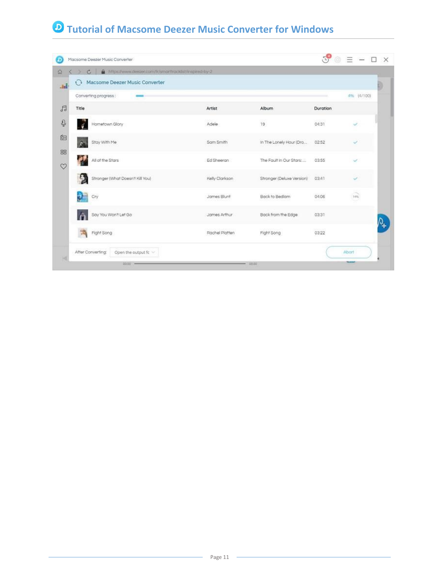| https://www.deezer.com/tr/smorthocklist/inspired-by-2<br>$\mathcal{C}_{\mathcal{A}}$<br>Macsome Deezer Music Converter |                |                           |          |            |
|------------------------------------------------------------------------------------------------------------------------|----------------|---------------------------|----------|------------|
| Converting progress:                                                                                                   |                |                           |          | 4% (4/100) |
| Title                                                                                                                  | Artist         | Album                     | Duration |            |
| Hometown Glory                                                                                                         | Adele          | 19                        | 04:31    |            |
| Stay With Me<br>$\overline{\alpha}$                                                                                    | Sam Smith      | In The Lonely Hour (Dro   | 02:52    |            |
| All of the Stars                                                                                                       | Ed Sheeran     | The Fault in Our Stars:   | 03:55    |            |
| $\mathbf{5}$<br>Stronger (What Doesn't Kill You)                                                                       | Kelly Clarkson | Stronger (Deluxe Version) | 03:41    | ر          |
| Cry                                                                                                                    | James Blunt    | Back to Bedlam            | 04:06    | 1486       |
| Say You Won't Let Go                                                                                                   | James Arthur   | Back from the Edge        | 03:31    |            |
| Fight Song                                                                                                             | Rochel Platten | Fight Song                | 03:22    |            |
| After Converting:<br>Open the output fc ~                                                                              |                |                           |          | Abort      |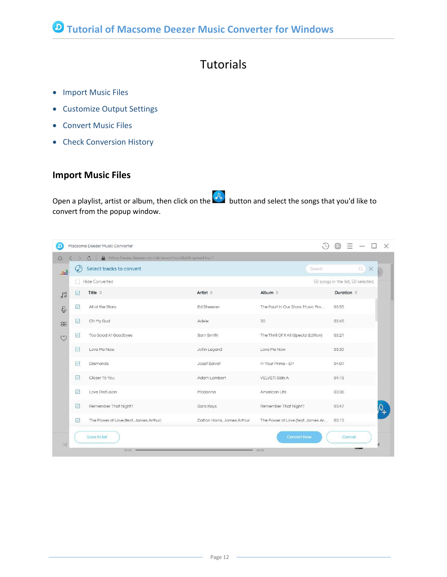## **Tutorials**

- [Import](#page-11-0) Music Files
- [Customize](#page-12-0) Output Settings
- [Convert](#page-12-1) Music Files
- Check [Conversion](#page-14-0) History

#### <span id="page-11-0"></span>**Import Music Files**

Open a playlist, artist or album, then click on the  $\overline{O_+}$  button and select the songs that you'd like to convert from the popup window.

|            |                         | Macsome Deezer Music Converter                                            |                             |                                        | $\times$               |
|------------|-------------------------|---------------------------------------------------------------------------|-----------------------------|----------------------------------------|------------------------|
| $\Omega$   |                         | A https://www.deezer.com/sk/smarttracklist/inspired-by-1<br>$\mathcal{C}$ |                             |                                        |                        |
| u sa B     |                         | Select tracks to convert                                                  |                             | Search                                 | QX                     |
|            | n                       | Hide Converted                                                            |                             | 50 songs in the list, 50 selected.     |                        |
| $\sqrt{3}$ | $\vert \vee \vert$      | Title $\triangleq$                                                        | $Artist =$                  | Album $\Leftrightarrow$                | Duration $\Rightarrow$ |
| Q          | $\checkmark$            | All of the Stars                                                          | Ed Sheeran                  | The Fault In Our Stars: Music Fro      | 03:55                  |
| 88         | $\triangleright$        | Oh My God                                                                 | Adele                       | 30                                     | 03:45                  |
| M          | ✓                       | Too Good At Goodbyes                                                      | Sam Smith                   | The Thrill Of It All (Special Edition) | 03:21                  |
|            | ☑                       | Love Me Now                                                               | John Legend                 | Love Me Now                            | 03:30                  |
|            | $\blacktriangledown$    | Diamonds                                                                  | Josef Salvat                | In Your Prime - EP                     | 04:07                  |
|            | $\overline{\vee}$       | Closer To You                                                             | Adam Lambert                | VELVET: Side A                         | 04:19                  |
|            | $\checkmark$            | Love Profusion                                                            | Madonna                     | American Life                          | 03:36                  |
|            | $\overline{\checkmark}$ | Remember That Night?                                                      | Sara Kays                   | Remember That Night?                   | 03:47                  |
|            | $\vee$                  | The Power of Love (feat. James Arthur)                                    | Dalton Harris, James Arthur | The Power of Love (feat. James Ar      | 03:13                  |
|            |                         | Save to list<br>00:00                                                     |                             | <b>Convert Now</b><br>00:00            | Cancel                 |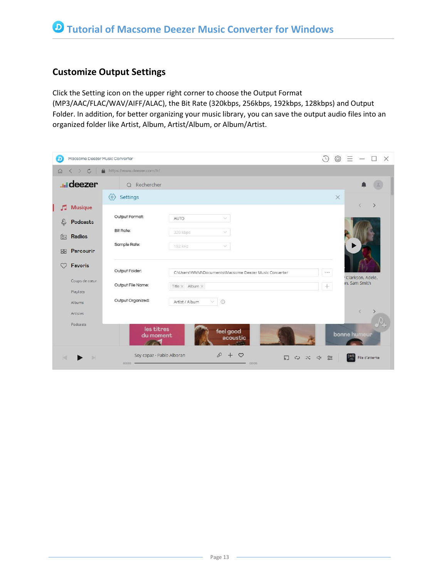#### <span id="page-12-0"></span>**Customize Output Settings**

Click the Setting icon on the upper right corner to choose the Output Format (MP3/AAC/FLAC/WAV/AIFF/ALAC), the Bit Rate (320kbps, 256kbps, 192kbps, 128kbps) and Output Folder. In addition, for better organizing your music library, you can save the output audio files into an organized folder like Artist, Album, Artist/Album, or Album/Artist.

<span id="page-12-1"></span>

| ם               | Macsome Deezer Music Converter              |                                           |                                                                                                                                                                                                                                                                                                                                                                   | $\bigodot$ | $\circledcirc \equiv - \Box \times$ |           |  |
|-----------------|---------------------------------------------|-------------------------------------------|-------------------------------------------------------------------------------------------------------------------------------------------------------------------------------------------------------------------------------------------------------------------------------------------------------------------------------------------------------------------|------------|-------------------------------------|-----------|--|
| $\Omega$        | $\mathcal{C}$<br>$\rightarrow$<br>$\langle$ | https://www.deezer.com/fr/<br>$\triangle$ |                                                                                                                                                                                                                                                                                                                                                                   |            |                                     |           |  |
|                 | <b>unideezer</b>                            | Q Rechercher                              |                                                                                                                                                                                                                                                                                                                                                                   |            |                                     |           |  |
|                 |                                             | $\langle 0 \rangle$<br><b>Settings</b>    |                                                                                                                                                                                                                                                                                                                                                                   |            |                                     |           |  |
| 5               | <b>Musique</b>                              |                                           |                                                                                                                                                                                                                                                                                                                                                                   |            |                                     |           |  |
| Q               | Podcasts                                    | Output Format:                            | AUTO<br>$\mathcal{A}$                                                                                                                                                                                                                                                                                                                                             |            |                                     |           |  |
| $\boxed{\circ}$ | Radios                                      | Bit Rate:                                 | 320 kbps<br>$\checkmark$                                                                                                                                                                                                                                                                                                                                          |            |                                     |           |  |
|                 |                                             | Sample Rate:                              | 192 kHz<br>$\searrow$                                                                                                                                                                                                                                                                                                                                             |            |                                     |           |  |
| 88              | Parcourir                                   |                                           |                                                                                                                                                                                                                                                                                                                                                                   |            |                                     |           |  |
|                 | Favoris                                     | Output Folder:                            |                                                                                                                                                                                                                                                                                                                                                                   |            |                                     |           |  |
|                 | Coups de cœur                               |                                           |                                                                                                                                                                                                                                                                                                                                                                   |            |                                     |           |  |
|                 | Playlists                                   | Output File Name:                         |                                                                                                                                                                                                                                                                                                                                                                   |            |                                     |           |  |
|                 | Albums                                      | Output Organized:                         | $\vee$<br>$\odot$<br>Artist / Album                                                                                                                                                                                                                                                                                                                               |            |                                     |           |  |
|                 | Artistes                                    |                                           |                                                                                                                                                                                                                                                                                                                                                                   |            |                                     | $\langle$ |  |
|                 | Podcasts                                    | les titres                                | $\times$<br>$\rightarrow$<br>Č<br>C:\Users\WMM\Documents\Macsome Deezer Music Converter<br>$\cdots$<br>Clarkson, Adele,<br>in, Sam Smith<br>$^{+}$<br>Title $\times$ Album $\times$<br>feel good<br>bonne humeur<br>acoustic<br>$\ell$ +<br>$\circ$<br>$\Box$<br>$\Box$<br>$rac{\phi}{\phi}$<br>File d'attente<br>$\mathfrak{S}$<br>$\exists \zeta$<br>荒<br>00:00 |            |                                     |           |  |
|                 |                                             | du moment                                 |                                                                                                                                                                                                                                                                                                                                                                   |            |                                     |           |  |
|                 |                                             | Soy capaz · Pablo Alboran<br>00:00        |                                                                                                                                                                                                                                                                                                                                                                   |            |                                     |           |  |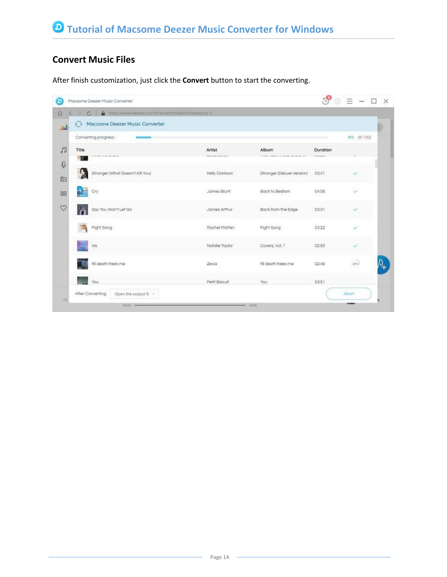### **Convert Music Files**

After finish customization, just click the **Convert** button to start the converting.

| A https://www.deezer.com/tr/smorthocklist/inspired-by-2<br>c<br>Macsome Deezer Music Converter<br>o |                                    |                                              |                                       |              |
|-----------------------------------------------------------------------------------------------------|------------------------------------|----------------------------------------------|---------------------------------------|--------------|
| ad.<br>Converting progress:                                                                         |                                    |                                              |                                       | 8% (8/100)   |
| Title<br>Chicago come beneficial                                                                    | Artist<br>ment but introduce see a | Album<br>The Contract of Course Services and | Duration<br><b>With College Corp.</b> |              |
| Ş<br>Stronger (What Doesn't Kill You)                                                               | Kelly Clarkson                     | Stronger (Deluxe Version)                    | 03:41                                 | ୰            |
| Cry                                                                                                 | James Blunt                        | Back to Bedlam                               | 04:06                                 | ୰            |
| Say You Won't Let Go                                                                                | James Arthur                       | Back from the Edge                           | 03:31                                 | ×,           |
| Fight Song                                                                                          | Rochel Platten                     | Fight Song                                   | 03:22                                 |              |
| Iris                                                                                                | Natalie Taylor                     | Covers, Vol. 1                               | 02:50                                 | $\checkmark$ |
| fill death frees me                                                                                 | Zevia                              | till death frees me                          | 02:46                                 | 26%          |
| You                                                                                                 | Petit Biscult                      | You                                          | 03:51                                 |              |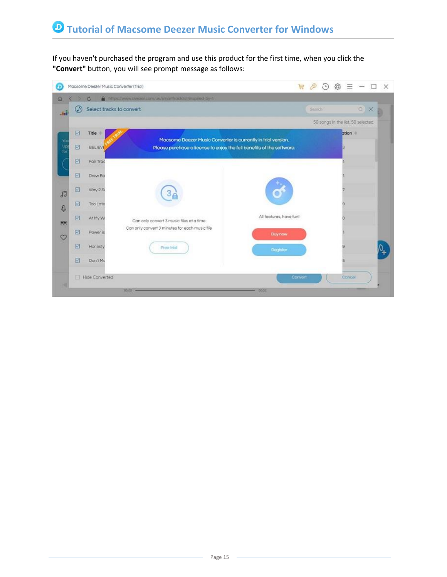If you haven't purchased the program and use this product for the first time, when you click the **"Convert"** button, you will see prompt message as follows:

<span id="page-14-0"></span>

| D                |                          |                       | Macsome Deezer Music Converter (Trial)                                | 冒                       | $\oslash$           | (4) | {6}                                | $= -$ | $\times$ |
|------------------|--------------------------|-----------------------|-----------------------------------------------------------------------|-------------------------|---------------------|-----|------------------------------------|-------|----------|
| $\Omega$         |                          | $\circ$               | a https://www.deezer.com/us/pnarthocklich/inspired-by-1               |                         |                     |     |                                    |       |          |
| .H               | $\bm \omega$             |                       | Select tracks to convert                                              |                         | Search <sup>®</sup> |     |                                    | QX    |          |
|                  |                          |                       |                                                                       |                         |                     |     | 50 songs in the list, 50 selected. |       |          |
|                  | $\overline{\omega}$      | Title                 | Macsome Deezer Music Converter is currently in trial version.         |                         |                     |     | ation =                            |       |          |
| Yor<br>Up<br>for | $\overline{\mathbf{w}}$  | <b>BELIEVE</b>        | Please purchase a license to enjoy the full benefits of the software. |                         |                     |     |                                    |       |          |
|                  | $\overline{\mathbf{v}}$  | Fair Trac             |                                                                       |                         |                     |     |                                    |       |          |
|                  | $\overline{\mathcal{L}}$ | Drew Ba               |                                                                       |                         |                     |     |                                    |       |          |
| 日                | $\overline{\mathbf{C}}$  | Way 2 Si              |                                                                       |                         |                     |     |                                    |       |          |
| Q                | 図                        | Too Late              |                                                                       |                         |                     |     |                                    |       |          |
| 88               | 図                        | At My W               | Can only convert 3 music files at a time                              | All features, have fun! |                     |     |                                    |       |          |
| $\infty$         | $\overline{\mathbb{R}}$  | Power is              | Can only convert 3 minutes for each music file                        | <b>Buy now</b>          |                     |     |                                    |       |          |
|                  | 図                        | Honesty               | Free trial                                                            | Register                |                     |     |                                    |       |          |
|                  | 区                        | Don't Mc              |                                                                       |                         |                     |     |                                    |       |          |
|                  | 同                        | <b>Hide Converted</b> |                                                                       | Convert                 |                     |     | Cancel                             |       |          |
|                  |                          |                       | $0000 -$                                                              | ocon                    |                     |     |                                    |       |          |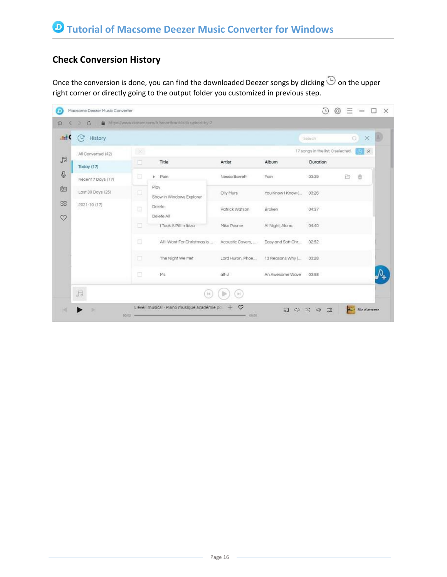### **Check Conversion History**

Once the conversion is done, you can find the downloaded Deezer songs by clicking  $\overline{\mathbb{D}}$  on the upper right corner or directly going to the output folder you customized in previous step.